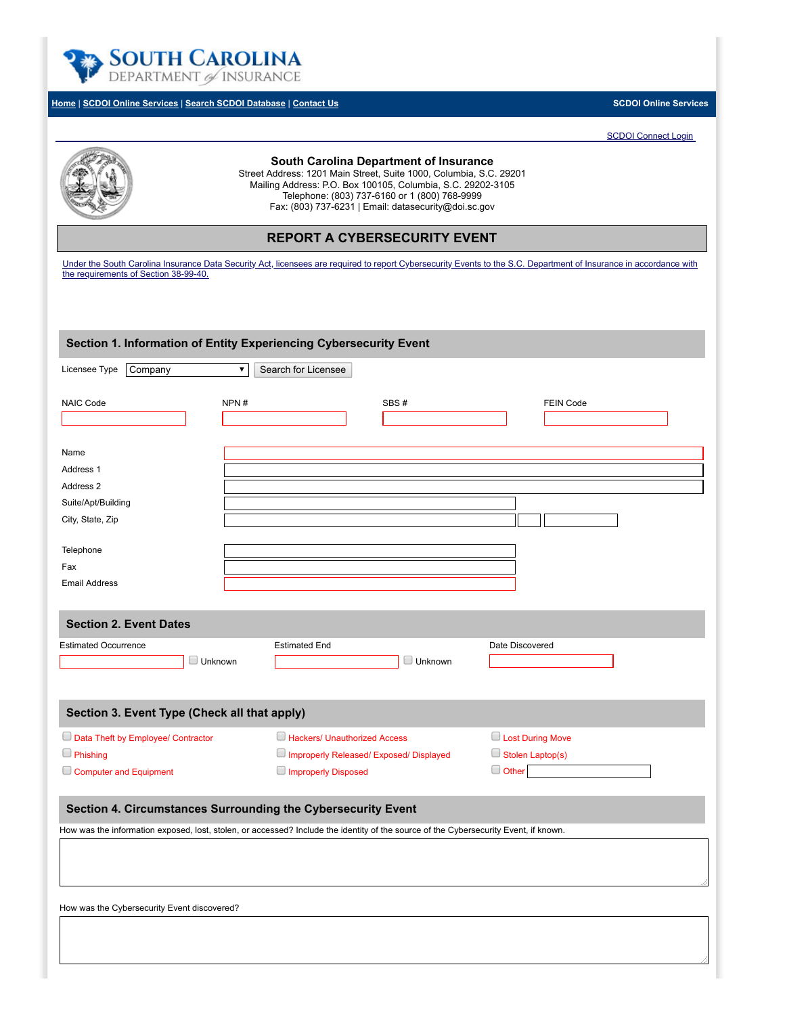

# **[Home](http://www.doi.sc.gov/)** | **[SCDOI Online Services](https://onlinetest.doi.sc.gov/Eng/Public/Common/OnlineServices.aspx)** | **[Search SCDOI Database](https://onlinetest.doi.sc.gov/Eng/Public/Static/DBSearch.aspx)** | **[Contact Us](http://doi.sc.gov/103/Division-Contacts) SCDOI Online Services**

[SCDOI Connect Login](https://onlinetest.doi.sc.gov/Eng/Members/Login.aspx)



# **South Carolina Department of Insurance**

Street Address: 1201 Main Street, Suite 1000, Columbia, S.C. 29201 Mailing Address: P.O. Box 100105, Columbia, S.C. 29202-3105 Telephone: (803) 737-6160 or 1 (800) 768-9999 Fax: (803) 737-6231 | Email: datasecurity@doi.sc.gov

**REPORT A CYBERSECURITY EVENT**

[Under the South Carolina Insurance Data Security Act, licensees are required to report Cybersecurity Events to the S.C. Department of Insurance in accordance with](http://www.scstatehouse.gov/sess122_2017-2018/bills/4655.htm) the requirements of Section 38-99-40.

| Section 1. Information of Entity Experiencing Cybersecurity Event                                                                    |                                         |                |                         |  |
|--------------------------------------------------------------------------------------------------------------------------------------|-----------------------------------------|----------------|-------------------------|--|
| Licensee Type<br>Company                                                                                                             | $\pmb{\nabla}$<br>Search for Licensee   |                |                         |  |
| NAIC Code                                                                                                                            | NPN#                                    | SBS#           | <b>FEIN Code</b>        |  |
|                                                                                                                                      |                                         |                |                         |  |
| Name                                                                                                                                 |                                         |                |                         |  |
| Address 1                                                                                                                            |                                         |                |                         |  |
| Address 2                                                                                                                            |                                         |                |                         |  |
| Suite/Apt/Building                                                                                                                   |                                         |                |                         |  |
| City, State, Zip                                                                                                                     |                                         |                |                         |  |
| Telephone                                                                                                                            |                                         |                |                         |  |
| Fax                                                                                                                                  |                                         |                |                         |  |
| <b>Email Address</b>                                                                                                                 |                                         |                |                         |  |
| <b>Section 2. Event Dates</b>                                                                                                        |                                         |                |                         |  |
| <b>Estimated Occurrence</b>                                                                                                          | <b>Estimated End</b>                    |                | Date Discovered         |  |
| $\Box$ Unknown                                                                                                                       |                                         | $\Box$ Unknown |                         |  |
| Section 3. Event Type (Check all that apply)                                                                                         |                                         |                |                         |  |
| Data Theft by Employee/ Contractor                                                                                                   | Hackers/ Unauthorized Access            |                | <b>Lost During Move</b> |  |
| $\Box$ Phishing                                                                                                                      | Improperly Released/ Exposed/ Displayed |                | Stolen Laptop(s)        |  |
| Computer and Equipment                                                                                                               | Improperly Disposed                     |                | $\Box$ Other            |  |
| Section 4. Circumstances Surrounding the Cybersecurity Event                                                                         |                                         |                |                         |  |
| How was the information exposed, lost, stolen, or accessed? Include the identity of the source of the Cybersecurity Event, if known. |                                         |                |                         |  |
|                                                                                                                                      |                                         |                |                         |  |
| How was the Cybersecurity Event discovered?                                                                                          |                                         |                |                         |  |
|                                                                                                                                      |                                         |                |                         |  |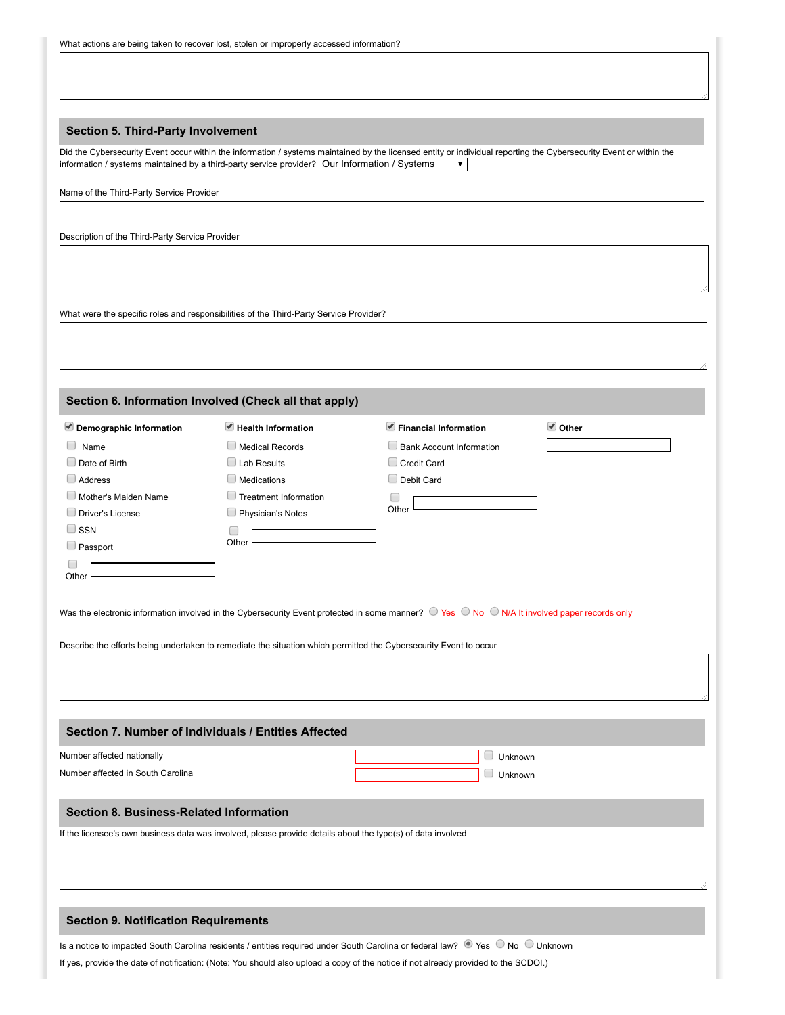### **Section 5. Third-Party Involvement**

Did the Cybersecurity Event occur within the information / systems maintained by the licensed entity or individual reporting the Cybersecurity Event or within the information / systems maintained by a third-party service provider? Our Information / Systems  $\vert$   $\vert$ 

Name of the Third-Party Service Provider

Description of the Third-Party Service Provider

What were the specific roles and responsibilities of the Third-Party Service Provider?

| Section 6. Information Involved (Check all that apply) |                                   |                                      |                |
|--------------------------------------------------------|-----------------------------------|--------------------------------------|----------------|
| Demographic Information                                | $\blacksquare$ Health Information | $\blacksquare$ Financial Information | <b>√</b> Other |
| $\Box$ Name                                            | $\Box$ Medical Records            | Bank Account Information             |                |
| $\Box$ Date of Birth                                   | $\Box$ Lab Results                | Credit Card                          |                |
| $\Box$ Address                                         | Medications                       | Debit Card                           |                |
| $\Box$ Mother's Maiden Name                            | Treatment Information             |                                      |                |
| $\Box$ Driver's License                                | Physician's Notes                 | Other                                |                |
| $\Box$ SSN                                             | L                                 |                                      |                |
| $\Box$ Passport                                        | Other                             |                                      |                |
| Other                                                  |                                   |                                      |                |
|                                                        |                                   |                                      |                |

Was the electronic information involved in the Cybersecurity Event protected in some manner?  $\heartsuit$  Yes  $\heartsuit$  No  $\heartsuit$  N/A It involved paper records only

Describe the efforts being undertaken to remediate the situation which permitted the Cybersecurity Event to occur

### **Section 7. Number of Individuals / Entities Affected**

| Number affected nationally        | Jnknown |
|-----------------------------------|---------|
| Number affected in South Carolina | Jnknown |

### **Section 8. Business-Related Information**

If the licensee's own business data was involved, please provide details about the type(s) of data involved

#### **Section 9. Notification Requirements**

Is a notice to impacted South Carolina residents / entities required under South Carolina or federal law? Ves No Unknown

If yes, provide the date of notification: (Note: You should also upload a copy of the notice if not already provided to the SCDOI.)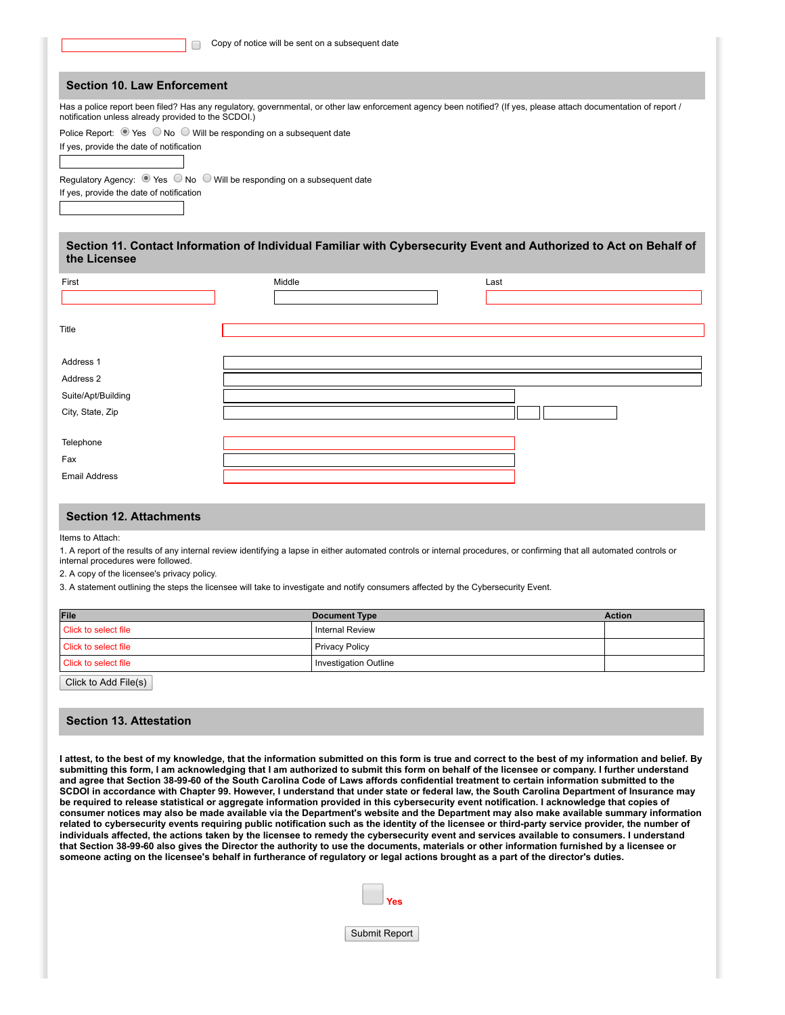|                                                                                                                                                   | Copy of notice will be sent on a subsequent date                                                               |                                                                                                                                                                         |  |
|---------------------------------------------------------------------------------------------------------------------------------------------------|----------------------------------------------------------------------------------------------------------------|-------------------------------------------------------------------------------------------------------------------------------------------------------------------------|--|
| <b>Section 10. Law Enforcement</b>                                                                                                                |                                                                                                                |                                                                                                                                                                         |  |
| notification unless already provided to the SCDOI.)                                                                                               |                                                                                                                | Has a police report been filed? Has any regulatory, governmental, or other law enforcement agency been notified? (If yes, please attach documentation of report /       |  |
| Police Report: $\bullet$ Yes $\circledcirc$ No $\circledcirc$ Will be responding on a subsequent date<br>If yes, provide the date of notification |                                                                                                                |                                                                                                                                                                         |  |
| If yes, provide the date of notification                                                                                                          | Regulatory Agency: $\circledcirc$ Yes $\circledcirc$ No $\circledcirc$ Will be responding on a subsequent date |                                                                                                                                                                         |  |
| the Licensee                                                                                                                                      |                                                                                                                | Section 11. Contact Information of Individual Familiar with Cybersecurity Event and Authorized to Act on Behalf of                                                      |  |
| First                                                                                                                                             | Middle                                                                                                         | Last                                                                                                                                                                    |  |
|                                                                                                                                                   |                                                                                                                |                                                                                                                                                                         |  |
|                                                                                                                                                   |                                                                                                                |                                                                                                                                                                         |  |
| Title                                                                                                                                             |                                                                                                                |                                                                                                                                                                         |  |
| Address 1                                                                                                                                         |                                                                                                                |                                                                                                                                                                         |  |
| Address 2                                                                                                                                         |                                                                                                                |                                                                                                                                                                         |  |
| Suite/Apt/Building                                                                                                                                |                                                                                                                |                                                                                                                                                                         |  |
| City, State, Zip                                                                                                                                  |                                                                                                                |                                                                                                                                                                         |  |
|                                                                                                                                                   |                                                                                                                |                                                                                                                                                                         |  |
| Telephone                                                                                                                                         |                                                                                                                |                                                                                                                                                                         |  |
| Fax                                                                                                                                               |                                                                                                                |                                                                                                                                                                         |  |
| <b>Email Address</b>                                                                                                                              |                                                                                                                |                                                                                                                                                                         |  |
| <b>Section 12. Attachments</b>                                                                                                                    |                                                                                                                |                                                                                                                                                                         |  |
| Items to Attach:                                                                                                                                  |                                                                                                                |                                                                                                                                                                         |  |
| internal procedures were followed.                                                                                                                |                                                                                                                | 1. A report of the results of any internal review identifying a lapse in either automated controls or internal procedures, or confirming that all automated controls or |  |
| 0. A second of the Research and recovered two                                                                                                     |                                                                                                                |                                                                                                                                                                         |  |

2. A copy of the licensee's privacy policy.

3. A statement outlining the steps the licensee will take to investigate and notify consumers affected by the Cybersecurity Event.

| File                 | <b>Document Type</b>         | <b>Action</b> |
|----------------------|------------------------------|---------------|
| Click to select file | <b>Internal Review</b>       |               |
| Click to select file | <b>Privacy Policy</b>        |               |
| Click to select file | <b>Investigation Outline</b> |               |
|                      |                              |               |

Click to Add File(s)

# **Section 13. Attestation**

**I attest, to the best of my knowledge, that the information submitted on this form is true and correct to the best of my information and belief. By submitting this form, I am acknowledging that I am authorized to submit this form on behalf of the licensee or company. I further understand and agree that Section 38-99-60 of the South Carolina Code of Laws affords confidential treatment to certain information submitted to the SCDOI in accordance with Chapter 99. However, I understand that under state or federal law, the South Carolina Department of Insurance may be required to release statistical or aggregate information provided in this cybersecurity event notification. I acknowledge that copies of consumer notices may also be made available via the Department's website and the Department may also make available summary information related to cybersecurity events requiring public notification such as the identity of the licensee or third-party service provider, the number of individuals affected, the actions taken by the licensee to remedy the cybersecurity event and services available to consumers. I understand that Section 38-99-60 also gives the Director the authority to use the documents, materials or other information furnished by a licensee or someone acting on the licensee's behalf in furtherance of regulatory or legal actions brought as a part of the director's duties.**



Submit Report